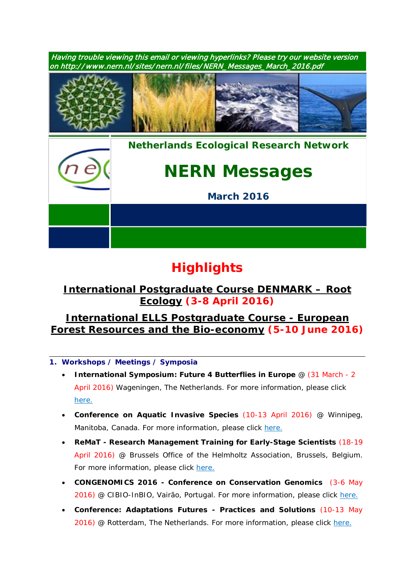

# **Highlights**

## *International [Postgraduate Course DENMARK](https://www.pe-rc.nl/rootecology) – Root [Ecology](https://www.pe-rc.nl/rootecology)* **(3-8 April 2016)**

### *[International ELLS Postgraduate Course -](https://www.pe-rc.nl/forest-resources) European [Forest Resources and the Bio-economy](https://www.pe-rc.nl/forest-resources)* **(5-10 June 2016)**

- **1. Workshops / Meetings / Symposia**
	- **International Symposium: Future 4 Butterflies in Europe** @ (31 March 2 April 2016) Wageningen, The Netherlands. For more information, please click [here.](http://www.futureofbutterflies.nl/index.php?id=257)
	- **Conference on Aquatic Invasive Species** (10-13 April 2016) @ Winnipeg, Manitoba, Canada. For more information, please click [here.](http://www.icais.org/)
	- **ReMaT - Research Management Training for Early-Stage Scientists** (18-19 April 2016) @ Brussels Office of the Helmholtz Association, Brussels, Belgium. For more information, please click [here.](http://remat.tutech.eu/)
	- **CONGENOMICS 2016 - Conference on Conservation Genomics** (3-6 May 2016) @ CIBIO-InBIO, Vairão, Portugal. For more information, please click [here.](http://congenomics2016.com/)
	- **Conference: Adaptations Futures - Practices and Solutions** (10-13 May 2016) @ Rotterdam, The Netherlands. For more information, please click [here.](http://www.adaptationfutures2016.org/)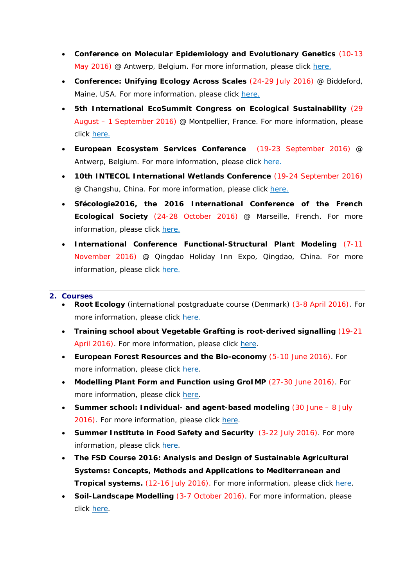- **Conference on Molecular Epidemiology and Evolutionary Genetics** (10-13 May 2016) @ Antwerp, Belgium. For more information, please click [here.](http://www.meegidconference.com/)
- **Conference: Unifying Ecology Across Scales** (24-29 July 2016) @ Biddeford, Maine, USA. For more information, please click [here.](https://www.grc.org/programs.aspx?id=13261)
- **5th International EcoSummit Congress on Ecological Sustainability** (29 August – 1 September 2016) @ Montpellier, France. For more information, please click [here.](http://www.ecosummit2016.org/)
- **European Ecosystem Services Conference** (19-23 September 2016) @ Antwerp, Belgium. For more information, please click [here.](http://www.esconference2016.eu/)
- **10th INTECOL International Wetlands Conference** (19-24 September 2016) @ Changshu, China. For more information, please click [here.](http://www.intecol-10iwc.com/EN/Index.aspx)
- **Sfécologie2016, the 2016 International Conference of the French Ecological Society** (24-28 October 2016) @ Marseille, French. For more information, please click [here.](http://sfecologie2016.sciencesconf.org/)
- **International Conference Functional-Structural Plant Modeling** (7-11 November 2016) @ Qingdao Holiday Inn Expo, Qingdao, China. For more information, please click [here.](http://www.fspma2016.net/dct/page/1)

#### **2. Courses**

- **Root Ecology** (international postgraduate course (Denmark) (3-8 April 2016). For more information, please click [here](http://www.pe-rc.nl/rootecology).
- **Training school about Vegetable Grafting is root-derived signalling** (19-21 April 2016). For more information, please click [here.](http://www.vegetablegrafting.unitus.it/ifile/Cost_Action1204_-_2nd_Vegetable_grafing_training_school_launch_18122015_final.pdf)
- **European Forest Resources and the Bio-economy** (5-10 June 2016). For more information, please click [here.](https://www.pe-rc.nl/forest-resources)
- Modelling Plant Form and Function using GrolMP (27-30 June 2016). For more information, please click [here.](https://www.pe-rc.nl/GroIMP)
- **Summer school: Individual- and agent-based modeling** (30 June 8 July 2016). For more information, please click [here.](http://www.forst.tu-dresden.de/summerschool)
- **Summer Institute in Food Safety and Security** (3-22 July 2016). For more information, please click [here.](https://www.pe-rc.nl/sites/default/files/SummerMannaA4_2016.pdf)
- **The FSD Course 2016: Analysis and Design of Sustainable Agricultural Systems: Concepts, Methods and Applications to Mediterranean and Tropical systems.** (12-16 July 2016). For more information, please click [here.](http://www.nern.nl/sites/nern.nl/files/FSDCourse_2016_Flyer_V2.pdf)
- **Soil-Landscape Modelling** (3-7 October 2016). For more information, please click [here.](https://www.pe-rc.nl/soil-landscape-modelling)